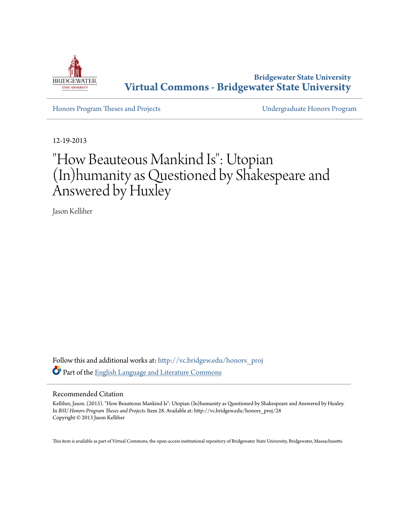

**Bridgewater State University [Virtual Commons - Bridgewater State University](http://vc.bridgew.edu?utm_source=vc.bridgew.edu%2Fhonors_proj%2F28&utm_medium=PDF&utm_campaign=PDFCoverPages)**

[Honors Program Theses and Projects](http://vc.bridgew.edu/honors_proj?utm_source=vc.bridgew.edu%2Fhonors_proj%2F28&utm_medium=PDF&utm_campaign=PDFCoverPages) [Undergraduate Honors Program](http://vc.bridgew.edu/honors?utm_source=vc.bridgew.edu%2Fhonors_proj%2F28&utm_medium=PDF&utm_campaign=PDFCoverPages)

12-19-2013

# "How Beauteous Mankind Is": Utopian (In)humanity as Questioned by Shakespeare and Answered by Huxley

Jason Kelliher

Follow this and additional works at: [http://vc.bridgew.edu/honors\\_proj](http://vc.bridgew.edu/honors_proj?utm_source=vc.bridgew.edu%2Fhonors_proj%2F28&utm_medium=PDF&utm_campaign=PDFCoverPages) Part of the [English Language and Literature Commons](http://network.bepress.com/hgg/discipline/455?utm_source=vc.bridgew.edu%2Fhonors_proj%2F28&utm_medium=PDF&utm_campaign=PDFCoverPages)

#### Recommended Citation

Kelliher, Jason. (2013). "How Beauteous Mankind Is": Utopian (In)humanity as Questioned by Shakespeare and Answered by Huxley. In *BSU Honors Program Theses and Projects.* Item 28. Available at: http://vc.bridgew.edu/honors\_proj/28 Copyright © 2013 Jason Kelliher

This item is available as part of Virtual Commons, the open-access institutional repository of Bridgewater State University, Bridgewater, Massachusetts.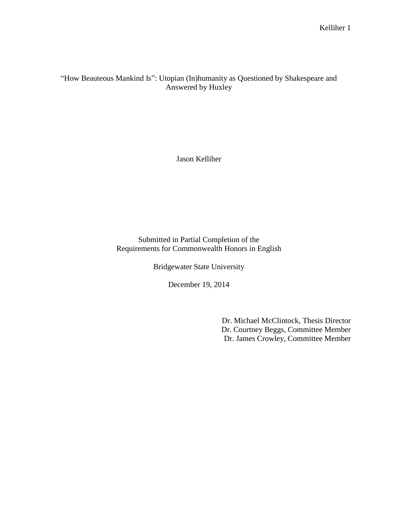"How Beauteous Mankind Is": Utopian (In)humanity as Questioned by Shakespeare and Answered by Huxley

Jason Kelliher

Submitted in Partial Completion of the Requirements for Commonwealth Honors in English

Bridgewater State University

December 19, 2014

Dr. Michael McClintock, Thesis Director Dr. Courtney Beggs, Committee Member Dr. James Crowley, Committee Member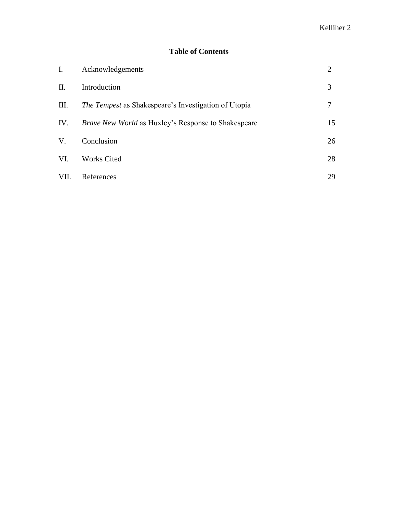## **Table of Contents**

| I.          | Acknowledgements                                            | 2  |
|-------------|-------------------------------------------------------------|----|
| II.         | Introduction                                                | 3  |
| III.        | <i>The Tempest</i> as Shakespeare's Investigation of Utopia | 7  |
| IV.         | <i>Brave New World</i> as Huxley's Response to Shakespeare  | 15 |
| $V_{\cdot}$ | Conclusion                                                  | 26 |
| VI.         | <b>Works Cited</b>                                          | 28 |
| VII.        | References                                                  | 29 |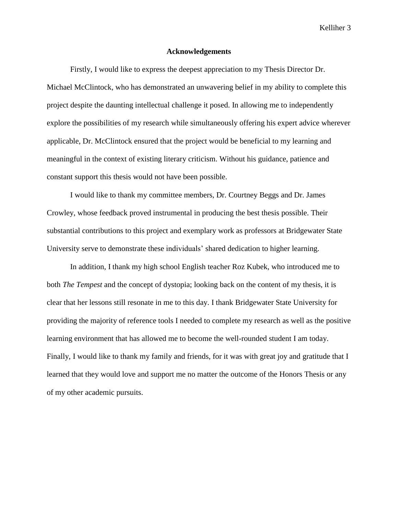#### **Acknowledgements**

Firstly, I would like to express the deepest appreciation to my Thesis Director Dr. Michael McClintock, who has demonstrated an unwavering belief in my ability to complete this project despite the daunting intellectual challenge it posed. In allowing me to independently explore the possibilities of my research while simultaneously offering his expert advice wherever applicable, Dr. McClintock ensured that the project would be beneficial to my learning and meaningful in the context of existing literary criticism. Without his guidance, patience and constant support this thesis would not have been possible.

I would like to thank my committee members, Dr. Courtney Beggs and Dr. James Crowley, whose feedback proved instrumental in producing the best thesis possible. Their substantial contributions to this project and exemplary work as professors at Bridgewater State University serve to demonstrate these individuals' shared dedication to higher learning.

In addition, I thank my high school English teacher Roz Kubek, who introduced me to both *The Tempest* and the concept of dystopia; looking back on the content of my thesis, it is clear that her lessons still resonate in me to this day. I thank Bridgewater State University for providing the majority of reference tools I needed to complete my research as well as the positive learning environment that has allowed me to become the well-rounded student I am today. Finally, I would like to thank my family and friends, for it was with great joy and gratitude that I learned that they would love and support me no matter the outcome of the Honors Thesis or any of my other academic pursuits.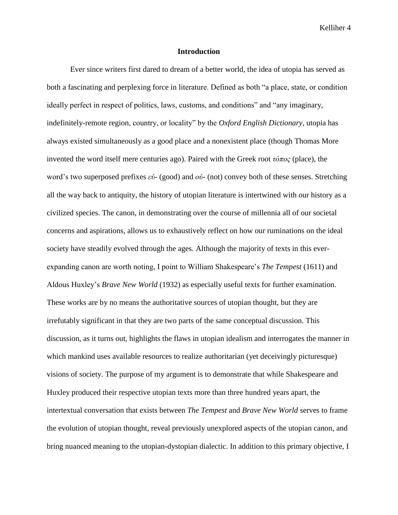#### **Introduction**

Ever since writers first dared to dream of a better world, the idea of utopia has served as both a fascinating and perplexing force in literature. Defined as both "a place, state, or condition ideally perfect in respect of politics, laws, customs, and conditions" and "any imaginary, indefinitely-remote region, country, or locality" by the *Oxford English Dictionary*, utopia has always existed simultaneously as a good place and a nonexistent place (though Thomas More invented the word itself mere centuries ago). Paired with the Greek root *τόπος* (place), the word's two superposed prefixes *εὐ-* (good) and *οὐ*- (not) convey both of these senses. Stretching all the way back to antiquity, the history of utopian literature is intertwined with our history as a civilized species. The canon, in demonstrating over the course of millennia all of our societal concerns and aspirations, allows us to exhaustively reflect on how our ruminations on the ideal society have steadily evolved through the ages. Although the majority of texts in this everexpanding canon are worth noting, I point to William Shakespeare's *The Tempest* (1611) and Aldous Huxley's *Brave New World* (1932) as especially useful texts for further examination. These works are by no means the authoritative sources of utopian thought, but they are irrefutably significant in that they are two parts of the same conceptual discussion. This discussion, as it turns out, highlights the flaws in utopian idealism and interrogates the manner in which mankind uses available resources to realize authoritarian (yet deceivingly picturesque) visions of society. The purpose of my argument is to demonstrate that while Shakespeare and Huxley produced their respective utopian texts more than three hundred years apart, the intertextual conversation that exists between *The Tempest* and *Brave New World* serves to frame the evolution of utopian thought, reveal previously unexplored aspects of the utopian canon, and bring nuanced meaning to the utopian-dystopian dialectic. In addition to this primary objective, I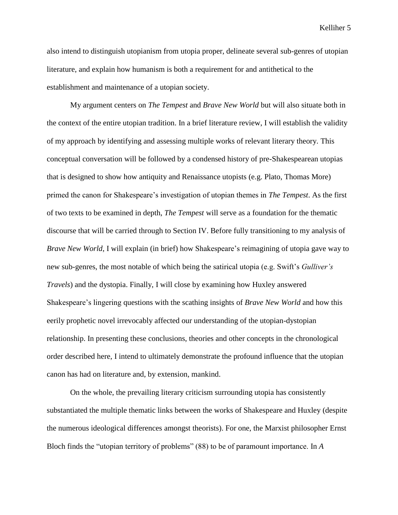also intend to distinguish utopianism from utopia proper, delineate several sub-genres of utopian literature, and explain how humanism is both a requirement for and antithetical to the establishment and maintenance of a utopian society.

My argument centers on *The Tempest* and *Brave New World* but will also situate both in the context of the entire utopian tradition. In a brief literature review, I will establish the validity of my approach by identifying and assessing multiple works of relevant literary theory. This conceptual conversation will be followed by a condensed history of pre-Shakespearean utopias that is designed to show how antiquity and Renaissance utopists (e.g. Plato, Thomas More) primed the canon for Shakespeare's investigation of utopian themes in *The Tempest*. As the first of two texts to be examined in depth, *The Tempest* will serve as a foundation for the thematic discourse that will be carried through to Section IV. Before fully transitioning to my analysis of *Brave New World*, I will explain (in brief) how Shakespeare's reimagining of utopia gave way to new sub-genres, the most notable of which being the satirical utopia (e.g. Swift's *Gulliver's Travels*) and the dystopia. Finally, I will close by examining how Huxley answered Shakespeare's lingering questions with the scathing insights of *Brave New World* and how this eerily prophetic novel irrevocably affected our understanding of the utopian-dystopian relationship. In presenting these conclusions, theories and other concepts in the chronological order described here, I intend to ultimately demonstrate the profound influence that the utopian canon has had on literature and, by extension, mankind.

On the whole, the prevailing literary criticism surrounding utopia has consistently substantiated the multiple thematic links between the works of Shakespeare and Huxley (despite the numerous ideological differences amongst theorists). For one, the Marxist philosopher Ernst Bloch finds the "utopian territory of problems" (88) to be of paramount importance. In *A*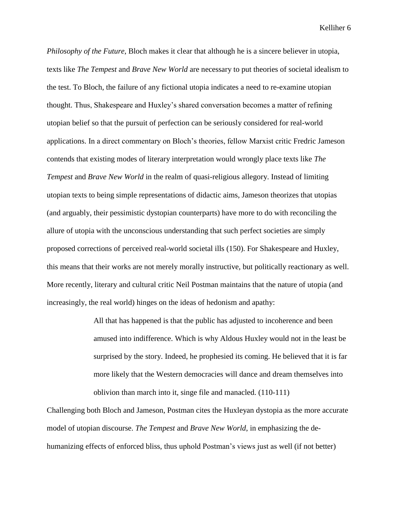*Philosophy of the Future*, Bloch makes it clear that although he is a sincere believer in utopia, texts like *The Tempest* and *Brave New World* are necessary to put theories of societal idealism to the test. To Bloch, the failure of any fictional utopia indicates a need to re-examine utopian thought. Thus, Shakespeare and Huxley's shared conversation becomes a matter of refining utopian belief so that the pursuit of perfection can be seriously considered for real-world applications. In a direct commentary on Bloch's theories, fellow Marxist critic Fredric Jameson contends that existing modes of literary interpretation would wrongly place texts like *The Tempest* and *Brave New World* in the realm of quasi-religious allegory. Instead of limiting utopian texts to being simple representations of didactic aims, Jameson theorizes that utopias (and arguably, their pessimistic dystopian counterparts) have more to do with reconciling the allure of utopia with the unconscious understanding that such perfect societies are simply proposed corrections of perceived real-world societal ills (150). For Shakespeare and Huxley, this means that their works are not merely morally instructive, but politically reactionary as well. More recently, literary and cultural critic Neil Postman maintains that the nature of utopia (and increasingly, the real world) hinges on the ideas of hedonism and apathy:

> All that has happened is that the public has adjusted to incoherence and been amused into indifference. Which is why Aldous Huxley would not in the least be surprised by the story. Indeed, he prophesied its coming. He believed that it is far more likely that the Western democracies will dance and dream themselves into oblivion than march into it, singe file and manacled. (110-111)

Challenging both Bloch and Jameson, Postman cites the Huxleyan dystopia as the more accurate model of utopian discourse. *The Tempest* and *Brave New World*, in emphasizing the dehumanizing effects of enforced bliss, thus uphold Postman's views just as well (if not better)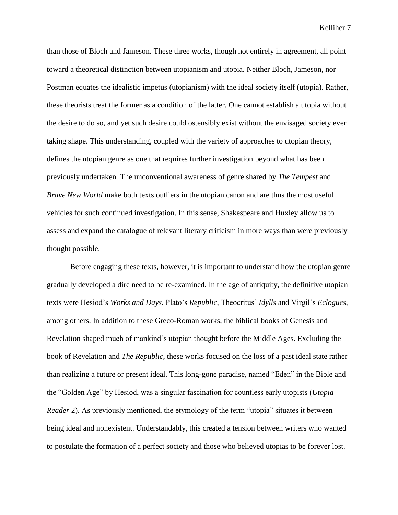than those of Bloch and Jameson. These three works, though not entirely in agreement, all point toward a theoretical distinction between utopianism and utopia. Neither Bloch, Jameson, nor Postman equates the idealistic impetus (utopianism) with the ideal society itself (utopia). Rather, these theorists treat the former as a condition of the latter. One cannot establish a utopia without the desire to do so, and yet such desire could ostensibly exist without the envisaged society ever taking shape. This understanding, coupled with the variety of approaches to utopian theory, defines the utopian genre as one that requires further investigation beyond what has been previously undertaken. The unconventional awareness of genre shared by *The Tempest* and *Brave New World* make both texts outliers in the utopian canon and are thus the most useful vehicles for such continued investigation. In this sense, Shakespeare and Huxley allow us to assess and expand the catalogue of relevant literary criticism in more ways than were previously thought possible.

Before engaging these texts, however, it is important to understand how the utopian genre gradually developed a dire need to be re-examined. In the age of antiquity, the definitive utopian texts were Hesiod's *Works and Days*, Plato's *Republic*, Theocritus' *Idylls* and Virgil's *Eclogues*, among others. In addition to these Greco-Roman works, the biblical books of Genesis and Revelation shaped much of mankind's utopian thought before the Middle Ages. Excluding the book of Revelation and *The Republic*, these works focused on the loss of a past ideal state rather than realizing a future or present ideal. This long-gone paradise, named "Eden" in the Bible and the "Golden Age" by Hesiod, was a singular fascination for countless early utopists (*Utopia Reader* 2). As previously mentioned, the etymology of the term "utopia" situates it between being ideal and nonexistent. Understandably, this created a tension between writers who wanted to postulate the formation of a perfect society and those who believed utopias to be forever lost.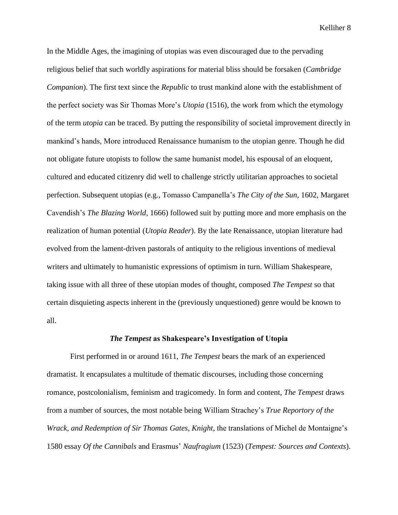In the Middle Ages, the imagining of utopias was even discouraged due to the pervading religious belief that such worldly aspirations for material bliss should be forsaken (*Cambridge Companion*). The first text since the *Republic* to trust mankind alone with the establishment of the perfect society was Sir Thomas More's *Utopia* (1516), the work from which the etymology of the term *utopia* can be traced. By putting the responsibility of societal improvement directly in mankind's hands, More introduced Renaissance humanism to the utopian genre. Though he did not obligate future utopists to follow the same humanist model, his espousal of an eloquent, cultured and educated citizenry did well to challenge strictly utilitarian approaches to societal perfection. Subsequent utopias (e.g., Tomasso Campanella's *The City of the Sun*, 1602, Margaret Cavendish's *The Blazing World*, 1666) followed suit by putting more and more emphasis on the realization of human potential (*Utopia Reader*). By the late Renaissance, utopian literature had evolved from the lament-driven pastorals of antiquity to the religious inventions of medieval writers and ultimately to humanistic expressions of optimism in turn. William Shakespeare, taking issue with all three of these utopian modes of thought, composed *The Tempest* so that certain disquieting aspects inherent in the (previously unquestioned) genre would be known to all.

#### *The Tempest* **as Shakespeare's Investigation of Utopia**

First performed in or around 1611, *The Tempest* bears the mark of an experienced dramatist. It encapsulates a multitude of thematic discourses, including those concerning romance, postcolonialism, feminism and tragicomedy. In form and content, *The Tempest* draws from a number of sources, the most notable being William Strachey's *True Reportory of the Wrack, and Redemption of Sir Thomas Gates, Knight*, the translations of Michel de Montaigne's 1580 essay *Of the Cannibals* and Erasmus' *Naufragium* (1523) (*Tempest: Sources and Contexts*).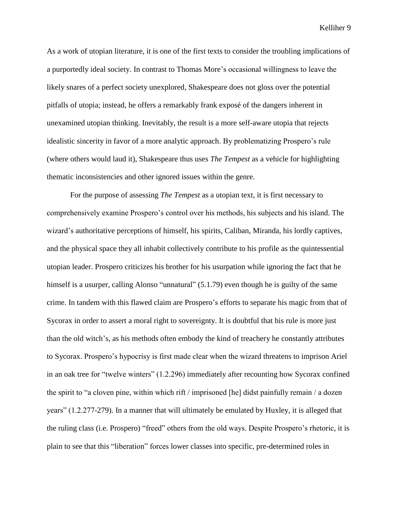As a work of utopian literature, it is one of the first texts to consider the troubling implications of a purportedly ideal society. In contrast to Thomas More's occasional willingness to leave the likely snares of a perfect society unexplored, Shakespeare does not gloss over the potential pitfalls of utopia; instead, he offers a remarkably frank exposé of the dangers inherent in unexamined utopian thinking. Inevitably, the result is a more self-aware utopia that rejects idealistic sincerity in favor of a more analytic approach. By problematizing Prospero's rule (where others would laud it), Shakespeare thus uses *The Tempest* as a vehicle for highlighting thematic inconsistencies and other ignored issues within the genre.

For the purpose of assessing *The Tempest* as a utopian text, it is first necessary to comprehensively examine Prospero's control over his methods, his subjects and his island. The wizard's authoritative perceptions of himself, his spirits, Caliban, Miranda, his lordly captives, and the physical space they all inhabit collectively contribute to his profile as the quintessential utopian leader. Prospero criticizes his brother for his usurpation while ignoring the fact that he himself is a usurper, calling Alonso "unnatural" (5.1.79) even though he is guilty of the same crime. In tandem with this flawed claim are Prospero's efforts to separate his magic from that of Sycorax in order to assert a moral right to sovereignty. It is doubtful that his rule is more just than the old witch's, as his methods often embody the kind of treachery he constantly attributes to Sycorax. Prospero's hypocrisy is first made clear when the wizard threatens to imprison Ariel in an oak tree for "twelve winters" (1.2.296) immediately after recounting how Sycorax confined the spirit to "a cloven pine, within which rift / imprisoned [he] didst painfully remain / a dozen years" (1.2.277-279). In a manner that will ultimately be emulated by Huxley, it is alleged that the ruling class (i.e. Prospero) "freed" others from the old ways. Despite Prospero's rhetoric, it is plain to see that this "liberation" forces lower classes into specific, pre-determined roles in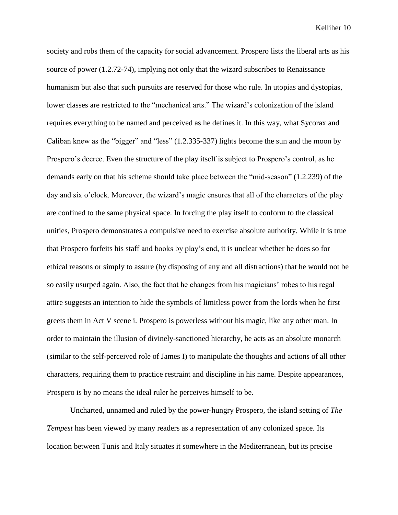society and robs them of the capacity for social advancement. Prospero lists the liberal arts as his source of power (1.2.72-74), implying not only that the wizard subscribes to Renaissance humanism but also that such pursuits are reserved for those who rule. In utopias and dystopias, lower classes are restricted to the "mechanical arts." The wizard's colonization of the island requires everything to be named and perceived as he defines it. In this way, what Sycorax and Caliban knew as the "bigger" and "less" (1.2.335-337) lights become the sun and the moon by Prospero's decree. Even the structure of the play itself is subject to Prospero's control, as he demands early on that his scheme should take place between the "mid-season" (1.2.239) of the day and six o'clock. Moreover, the wizard's magic ensures that all of the characters of the play are confined to the same physical space. In forcing the play itself to conform to the classical unities, Prospero demonstrates a compulsive need to exercise absolute authority. While it is true that Prospero forfeits his staff and books by play's end, it is unclear whether he does so for ethical reasons or simply to assure (by disposing of any and all distractions) that he would not be so easily usurped again. Also, the fact that he changes from his magicians' robes to his regal attire suggests an intention to hide the symbols of limitless power from the lords when he first greets them in Act V scene i. Prospero is powerless without his magic, like any other man. In order to maintain the illusion of divinely-sanctioned hierarchy, he acts as an absolute monarch (similar to the self-perceived role of James I) to manipulate the thoughts and actions of all other characters, requiring them to practice restraint and discipline in his name. Despite appearances, Prospero is by no means the ideal ruler he perceives himself to be.

Uncharted, unnamed and ruled by the power-hungry Prospero, the island setting of *The Tempest* has been viewed by many readers as a representation of any colonized space. Its location between Tunis and Italy situates it somewhere in the Mediterranean, but its precise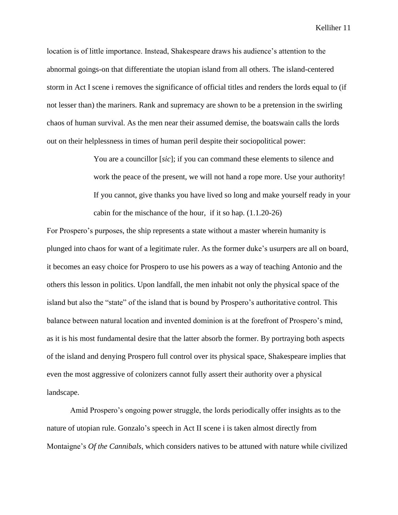location is of little importance. Instead, Shakespeare draws his audience's attention to the abnormal goings-on that differentiate the utopian island from all others. The island-centered storm in Act I scene i removes the significance of official titles and renders the lords equal to (if not lesser than) the mariners. Rank and supremacy are shown to be a pretension in the swirling chaos of human survival. As the men near their assumed demise, the boatswain calls the lords out on their helplessness in times of human peril despite their sociopolitical power:

> You are a councillor [*sic*]; if you can command these elements to silence and work the peace of the present, we will not hand a rope more. Use your authority! If you cannot, give thanks you have lived so long and make yourself ready in your cabin for the mischance of the hour, if it so hap. (1.1.20-26)

For Prospero's purposes, the ship represents a state without a master wherein humanity is plunged into chaos for want of a legitimate ruler. As the former duke's usurpers are all on board, it becomes an easy choice for Prospero to use his powers as a way of teaching Antonio and the others this lesson in politics. Upon landfall, the men inhabit not only the physical space of the island but also the "state" of the island that is bound by Prospero's authoritative control. This balance between natural location and invented dominion is at the forefront of Prospero's mind, as it is his most fundamental desire that the latter absorb the former. By portraying both aspects of the island and denying Prospero full control over its physical space, Shakespeare implies that even the most aggressive of colonizers cannot fully assert their authority over a physical landscape.

Amid Prospero's ongoing power struggle, the lords periodically offer insights as to the nature of utopian rule. Gonzalo's speech in Act II scene i is taken almost directly from Montaigne's *Of the Cannibals*, which considers natives to be attuned with nature while civilized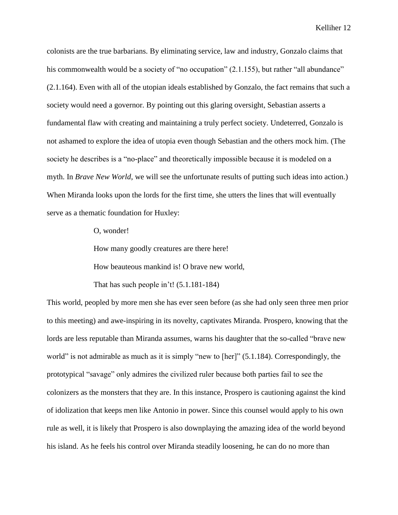colonists are the true barbarians. By eliminating service, law and industry, Gonzalo claims that his commonwealth would be a society of "no occupation" (2.1.155), but rather "all abundance" (2.1.164). Even with all of the utopian ideals established by Gonzalo, the fact remains that such a society would need a governor. By pointing out this glaring oversight, Sebastian asserts a fundamental flaw with creating and maintaining a truly perfect society. Undeterred, Gonzalo is not ashamed to explore the idea of utopia even though Sebastian and the others mock him. (The society he describes is a "no-place" and theoretically impossible because it is modeled on a myth. In *Brave New World*, we will see the unfortunate results of putting such ideas into action.) When Miranda looks upon the lords for the first time, she utters the lines that will eventually serve as a thematic foundation for Huxley:

O, wonder!

How many goodly creatures are there here!

How beauteous mankind is! O brave new world,

That has such people in't! (5.1.181-184)

This world, peopled by more men she has ever seen before (as she had only seen three men prior to this meeting) and awe-inspiring in its novelty, captivates Miranda. Prospero, knowing that the lords are less reputable than Miranda assumes, warns his daughter that the so-called "brave new world" is not admirable as much as it is simply "new to [her]" (5.1.184). Correspondingly, the prototypical "savage" only admires the civilized ruler because both parties fail to see the colonizers as the monsters that they are. In this instance, Prospero is cautioning against the kind of idolization that keeps men like Antonio in power. Since this counsel would apply to his own rule as well, it is likely that Prospero is also downplaying the amazing idea of the world beyond his island. As he feels his control over Miranda steadily loosening, he can do no more than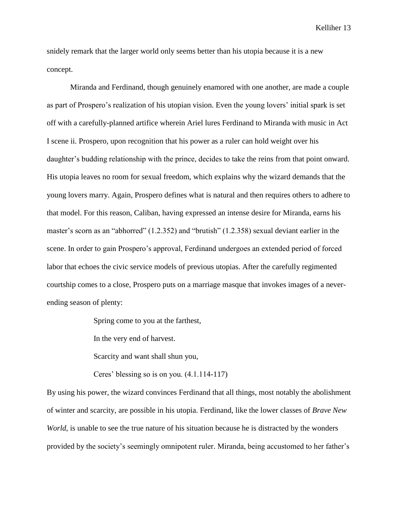snidely remark that the larger world only seems better than his utopia because it is a new concept.

Miranda and Ferdinand, though genuinely enamored with one another, are made a couple as part of Prospero's realization of his utopian vision. Even the young lovers' initial spark is set off with a carefully-planned artifice wherein Ariel lures Ferdinand to Miranda with music in Act I scene ii. Prospero, upon recognition that his power as a ruler can hold weight over his daughter's budding relationship with the prince, decides to take the reins from that point onward. His utopia leaves no room for sexual freedom, which explains why the wizard demands that the young lovers marry. Again, Prospero defines what is natural and then requires others to adhere to that model. For this reason, Caliban, having expressed an intense desire for Miranda, earns his master's scorn as an "abhorred" (1.2.352) and "brutish" (1.2.358) sexual deviant earlier in the scene. In order to gain Prospero's approval, Ferdinand undergoes an extended period of forced labor that echoes the civic service models of previous utopias. After the carefully regimented courtship comes to a close, Prospero puts on a marriage masque that invokes images of a neverending season of plenty:

Spring come to you at the farthest,

In the very end of harvest.

Scarcity and want shall shun you,

Ceres' blessing so is on you. (4.1.114-117)

By using his power, the wizard convinces Ferdinand that all things, most notably the abolishment of winter and scarcity, are possible in his utopia. Ferdinand, like the lower classes of *Brave New World*, is unable to see the true nature of his situation because he is distracted by the wonders provided by the society's seemingly omnipotent ruler. Miranda, being accustomed to her father's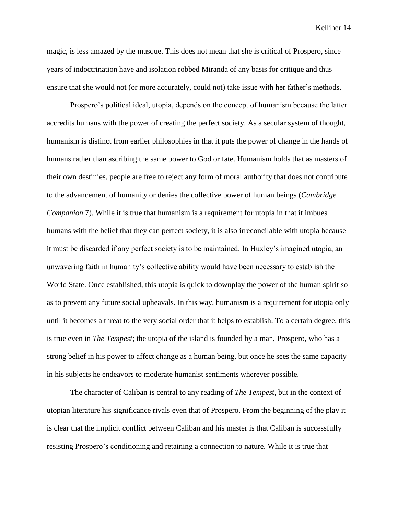magic, is less amazed by the masque. This does not mean that she is critical of Prospero, since years of indoctrination have and isolation robbed Miranda of any basis for critique and thus ensure that she would not (or more accurately, could not) take issue with her father's methods.

Prospero's political ideal, utopia, depends on the concept of humanism because the latter accredits humans with the power of creating the perfect society. As a secular system of thought, humanism is distinct from earlier philosophies in that it puts the power of change in the hands of humans rather than ascribing the same power to God or fate. Humanism holds that as masters of their own destinies, people are free to reject any form of moral authority that does not contribute to the advancement of humanity or denies the collective power of human beings (*Cambridge Companion* 7). While it is true that humanism is a requirement for utopia in that it imbues humans with the belief that they can perfect society, it is also irreconcilable with utopia because it must be discarded if any perfect society is to be maintained. In Huxley's imagined utopia, an unwavering faith in humanity's collective ability would have been necessary to establish the World State. Once established, this utopia is quick to downplay the power of the human spirit so as to prevent any future social upheavals. In this way, humanism is a requirement for utopia only until it becomes a threat to the very social order that it helps to establish. To a certain degree, this is true even in *The Tempest*; the utopia of the island is founded by a man, Prospero, who has a strong belief in his power to affect change as a human being, but once he sees the same capacity in his subjects he endeavors to moderate humanist sentiments wherever possible.

The character of Caliban is central to any reading of *The Tempest*, but in the context of utopian literature his significance rivals even that of Prospero. From the beginning of the play it is clear that the implicit conflict between Caliban and his master is that Caliban is successfully resisting Prospero's conditioning and retaining a connection to nature. While it is true that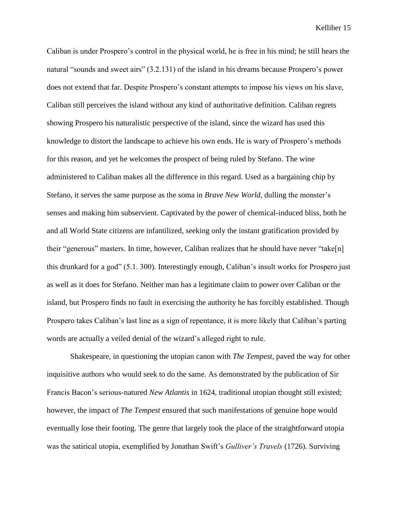Caliban is under Prospero's control in the physical world, he is free in his mind; he still hears the natural "sounds and sweet airs" (3.2.131) of the island in his dreams because Prospero's power does not extend that far. Despite Prospero's constant attempts to impose his views on his slave, Caliban still perceives the island without any kind of authoritative definition. Caliban regrets showing Prospero his naturalistic perspective of the island, since the wizard has used this knowledge to distort the landscape to achieve his own ends. He is wary of Prospero's methods for this reason, and yet he welcomes the prospect of being ruled by Stefano. The wine administered to Caliban makes all the difference in this regard. Used as a bargaining chip by Stefano, it serves the same purpose as the soma in *Brave New World*, dulling the monster's senses and making him subservient. Captivated by the power of chemical-induced bliss, both he and all World State citizens are infantilized, seeking only the instant gratification provided by their "generous" masters. In time, however, Caliban realizes that he should have never "take[n] this drunkard for a god" (5.1. 300). Interestingly enough, Caliban's insult works for Prospero just as well as it does for Stefano. Neither man has a legitimate claim to power over Caliban or the island, but Prospero finds no fault in exercising the authority he has forcibly established. Though Prospero takes Caliban's last line as a sign of repentance, it is more likely that Caliban's parting words are actually a veiled denial of the wizard's alleged right to rule.

Shakespeare, in questioning the utopian canon with *The Tempest*, paved the way for other inquisitive authors who would seek to do the same. As demonstrated by the publication of Sir Francis Bacon's serious-natured *New Atlantis* in 1624, traditional utopian thought still existed; however, the impact of *The Tempest* ensured that such manifestations of genuine hope would eventually lose their footing. The genre that largely took the place of the straightforward utopia was the satirical utopia, exemplified by Jonathan Swift's *Gulliver's Travels* (1726). Surviving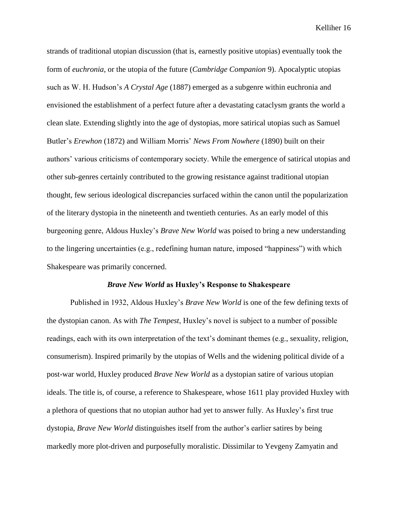strands of traditional utopian discussion (that is, earnestly positive utopias) eventually took the form of *euchronia*, or the utopia of the future (*Cambridge Companion* 9). Apocalyptic utopias such as W. H. Hudson's *A Crystal Age* (1887) emerged as a subgenre within euchronia and envisioned the establishment of a perfect future after a devastating cataclysm grants the world a clean slate. Extending slightly into the age of dystopias, more satirical utopias such as Samuel Butler's *Erewhon* (1872) and William Morris' *News From Nowhere* (1890) built on their authors' various criticisms of contemporary society. While the emergence of satirical utopias and other sub-genres certainly contributed to the growing resistance against traditional utopian thought, few serious ideological discrepancies surfaced within the canon until the popularization of the literary dystopia in the nineteenth and twentieth centuries. As an early model of this burgeoning genre, Aldous Huxley's *Brave New World* was poised to bring a new understanding to the lingering uncertainties (e.g., redefining human nature, imposed "happiness") with which Shakespeare was primarily concerned.

#### *Brave New World* **as Huxley's Response to Shakespeare**

Published in 1932, Aldous Huxley's *Brave New World* is one of the few defining texts of the dystopian canon. As with *The Tempest*, Huxley's novel is subject to a number of possible readings, each with its own interpretation of the text's dominant themes (e.g., sexuality, religion, consumerism). Inspired primarily by the utopias of Wells and the widening political divide of a post-war world, Huxley produced *Brave New World* as a dystopian satire of various utopian ideals. The title is, of course, a reference to Shakespeare, whose 1611 play provided Huxley with a plethora of questions that no utopian author had yet to answer fully. As Huxley's first true dystopia, *Brave New World* distinguishes itself from the author's earlier satires by being markedly more plot-driven and purposefully moralistic. Dissimilar to Yevgeny Zamyatin and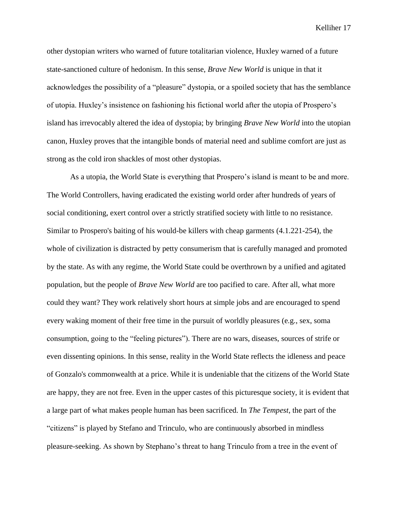other dystopian writers who warned of future totalitarian violence, Huxley warned of a future state-sanctioned culture of hedonism. In this sense, *Brave New World* is unique in that it acknowledges the possibility of a "pleasure" dystopia, or a spoiled society that has the semblance of utopia. Huxley's insistence on fashioning his fictional world after the utopia of Prospero's island has irrevocably altered the idea of dystopia; by bringing *Brave New World* into the utopian canon, Huxley proves that the intangible bonds of material need and sublime comfort are just as strong as the cold iron shackles of most other dystopias.

As a utopia, the World State is everything that Prospero's island is meant to be and more. The World Controllers, having eradicated the existing world order after hundreds of years of social conditioning, exert control over a strictly stratified society with little to no resistance. Similar to Prospero's baiting of his would-be killers with cheap garments (4.1.221-254), the whole of civilization is distracted by petty consumerism that is carefully managed and promoted by the state. As with any regime, the World State could be overthrown by a unified and agitated population, but the people of *Brave New World* are too pacified to care. After all, what more could they want? They work relatively short hours at simple jobs and are encouraged to spend every waking moment of their free time in the pursuit of worldly pleasures (e.g., sex, soma consumption, going to the "feeling pictures"). There are no wars, diseases, sources of strife or even dissenting opinions. In this sense, reality in the World State reflects the idleness and peace of Gonzalo's commonwealth at a price. While it is undeniable that the citizens of the World State are happy, they are not free. Even in the upper castes of this picturesque society, it is evident that a large part of what makes people human has been sacrificed. In *The Tempest*, the part of the "citizens" is played by Stefano and Trinculo, who are continuously absorbed in mindless pleasure-seeking. As shown by Stephano's threat to hang Trinculo from a tree in the event of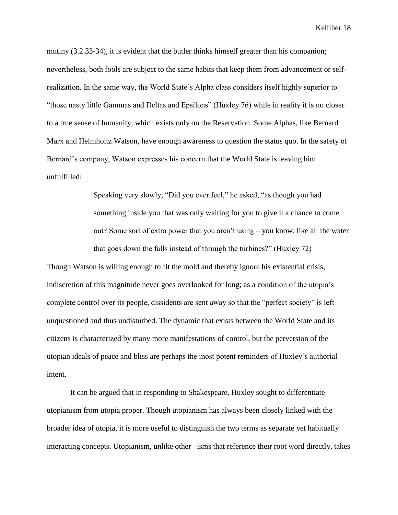mutiny (3.2.33-34), it is evident that the butler thinks himself greater than his companion; nevertheless, both fools are subject to the same habits that keep them from advancement or selfrealization. In the same way, the World State's Alpha class considers itself highly superior to "those nasty little Gammas and Deltas and Epsilons" (Huxley 76) while in reality it is no closer to a true sense of humanity, which exists only on the Reservation. Some Alphas, like Bernard Marx and Helmholtz Watson, have enough awareness to question the status quo. In the safety of Bernard's company, Watson expresses his concern that the World State is leaving him unfulfilled:

> Speaking very slowly, "Did you ever feel," he asked, "as though you had something inside you that was only waiting for you to give it a chance to come out? Some sort of extra power that you aren't using – you know, like all the water that goes down the falls instead of through the turbines?" (Huxley 72)

Though Watson is willing enough to fit the mold and thereby ignore his existential crisis, indiscretion of this magnitude never goes overlooked for long; as a condition of the utopia's complete control over its people, dissidents are sent away so that the "perfect society" is left unquestioned and thus undisturbed. The dynamic that exists between the World State and its citizens is characterized by many more manifestations of control, but the perversion of the utopian ideals of peace and bliss are perhaps the most potent reminders of Huxley's authorial intent.

It can be argued that in responding to Shakespeare, Huxley sought to differentiate utopianism from utopia proper. Though utopianism has always been closely linked with the broader idea of utopia, it is more useful to distinguish the two terms as separate yet habitually interacting concepts. Utopianism, unlike other –isms that reference their root word directly, takes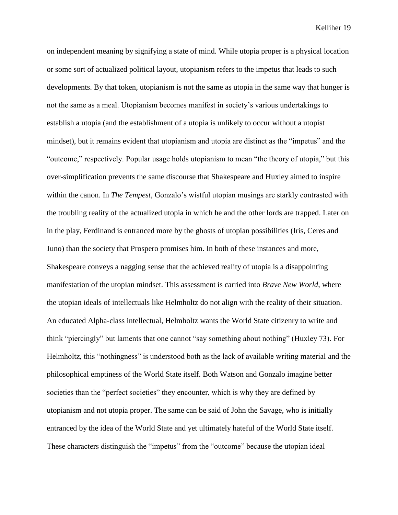on independent meaning by signifying a state of mind. While utopia proper is a physical location or some sort of actualized political layout, utopianism refers to the impetus that leads to such developments. By that token, utopianism is not the same as utopia in the same way that hunger is not the same as a meal. Utopianism becomes manifest in society's various undertakings to establish a utopia (and the establishment of a utopia is unlikely to occur without a utopist mindset), but it remains evident that utopianism and utopia are distinct as the "impetus" and the "outcome," respectively. Popular usage holds utopianism to mean "the theory of utopia," but this over-simplification prevents the same discourse that Shakespeare and Huxley aimed to inspire within the canon. In *The Tempest*, Gonzalo's wistful utopian musings are starkly contrasted with the troubling reality of the actualized utopia in which he and the other lords are trapped. Later on in the play, Ferdinand is entranced more by the ghosts of utopian possibilities (Iris, Ceres and Juno) than the society that Prospero promises him. In both of these instances and more, Shakespeare conveys a nagging sense that the achieved reality of utopia is a disappointing manifestation of the utopian mindset. This assessment is carried into *Brave New World*, where the utopian ideals of intellectuals like Helmholtz do not align with the reality of their situation. An educated Alpha-class intellectual, Helmholtz wants the World State citizenry to write and think "piercingly" but laments that one cannot "say something about nothing" (Huxley 73). For Helmholtz, this "nothingness" is understood both as the lack of available writing material and the philosophical emptiness of the World State itself. Both Watson and Gonzalo imagine better societies than the "perfect societies" they encounter, which is why they are defined by utopianism and not utopia proper. The same can be said of John the Savage, who is initially entranced by the idea of the World State and yet ultimately hateful of the World State itself. These characters distinguish the "impetus" from the "outcome" because the utopian ideal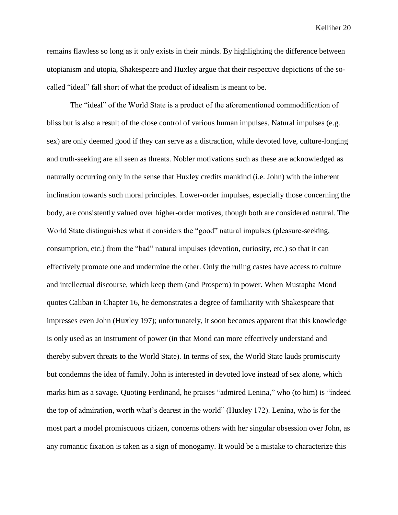remains flawless so long as it only exists in their minds. By highlighting the difference between utopianism and utopia, Shakespeare and Huxley argue that their respective depictions of the socalled "ideal" fall short of what the product of idealism is meant to be.

The "ideal" of the World State is a product of the aforementioned commodification of bliss but is also a result of the close control of various human impulses. Natural impulses (e.g. sex) are only deemed good if they can serve as a distraction, while devoted love, culture-longing and truth-seeking are all seen as threats. Nobler motivations such as these are acknowledged as naturally occurring only in the sense that Huxley credits mankind (i.e. John) with the inherent inclination towards such moral principles. Lower-order impulses, especially those concerning the body, are consistently valued over higher-order motives, though both are considered natural. The World State distinguishes what it considers the "good" natural impulses (pleasure-seeking, consumption, etc.) from the "bad" natural impulses (devotion, curiosity, etc.) so that it can effectively promote one and undermine the other. Only the ruling castes have access to culture and intellectual discourse, which keep them (and Prospero) in power. When Mustapha Mond quotes Caliban in Chapter 16, he demonstrates a degree of familiarity with Shakespeare that impresses even John (Huxley 197); unfortunately, it soon becomes apparent that this knowledge is only used as an instrument of power (in that Mond can more effectively understand and thereby subvert threats to the World State). In terms of sex, the World State lauds promiscuity but condemns the idea of family. John is interested in devoted love instead of sex alone, which marks him as a savage. Quoting Ferdinand, he praises "admired Lenina," who (to him) is "indeed the top of admiration, worth what's dearest in the world" (Huxley 172). Lenina, who is for the most part a model promiscuous citizen, concerns others with her singular obsession over John, as any romantic fixation is taken as a sign of monogamy. It would be a mistake to characterize this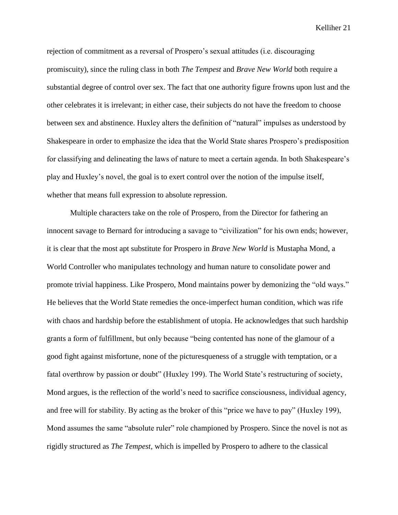rejection of commitment as a reversal of Prospero's sexual attitudes (i.e. discouraging promiscuity), since the ruling class in both *The Tempest* and *Brave New World* both require a substantial degree of control over sex. The fact that one authority figure frowns upon lust and the other celebrates it is irrelevant; in either case, their subjects do not have the freedom to choose between sex and abstinence. Huxley alters the definition of "natural" impulses as understood by Shakespeare in order to emphasize the idea that the World State shares Prospero's predisposition for classifying and delineating the laws of nature to meet a certain agenda. In both Shakespeare's play and Huxley's novel, the goal is to exert control over the notion of the impulse itself, whether that means full expression to absolute repression.

Multiple characters take on the role of Prospero, from the Director for fathering an innocent savage to Bernard for introducing a savage to "civilization" for his own ends; however, it is clear that the most apt substitute for Prospero in *Brave New World* is Mustapha Mond, a World Controller who manipulates technology and human nature to consolidate power and promote trivial happiness. Like Prospero, Mond maintains power by demonizing the "old ways." He believes that the World State remedies the once-imperfect human condition, which was rife with chaos and hardship before the establishment of utopia. He acknowledges that such hardship grants a form of fulfillment, but only because "being contented has none of the glamour of a good fight against misfortune, none of the picturesqueness of a struggle with temptation, or a fatal overthrow by passion or doubt" (Huxley 199). The World State's restructuring of society, Mond argues, is the reflection of the world's need to sacrifice consciousness, individual agency, and free will for stability. By acting as the broker of this "price we have to pay" (Huxley 199), Mond assumes the same "absolute ruler" role championed by Prospero. Since the novel is not as rigidly structured as *The Tempest*, which is impelled by Prospero to adhere to the classical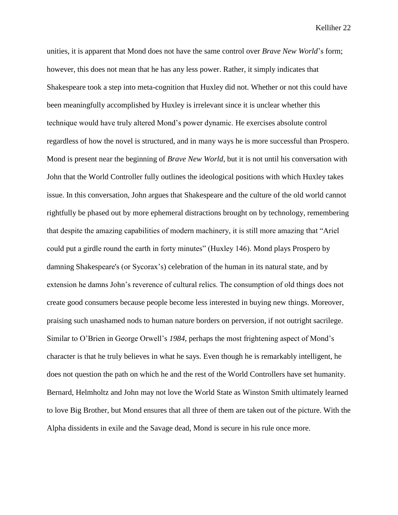unities, it is apparent that Mond does not have the same control over *Brave New World*'s form; however, this does not mean that he has any less power. Rather, it simply indicates that Shakespeare took a step into meta-cognition that Huxley did not. Whether or not this could have been meaningfully accomplished by Huxley is irrelevant since it is unclear whether this technique would have truly altered Mond's power dynamic. He exercises absolute control regardless of how the novel is structured, and in many ways he is more successful than Prospero. Mond is present near the beginning of *Brave New World*, but it is not until his conversation with John that the World Controller fully outlines the ideological positions with which Huxley takes issue. In this conversation, John argues that Shakespeare and the culture of the old world cannot rightfully be phased out by more ephemeral distractions brought on by technology, remembering that despite the amazing capabilities of modern machinery, it is still more amazing that "Ariel could put a girdle round the earth in forty minutes" (Huxley 146). Mond plays Prospero by damning Shakespeare's (or Sycorax's) celebration of the human in its natural state, and by extension he damns John's reverence of cultural relics. The consumption of old things does not create good consumers because people become less interested in buying new things. Moreover, praising such unashamed nods to human nature borders on perversion, if not outright sacrilege. Similar to O'Brien in George Orwell's *1984*, perhaps the most frightening aspect of Mond's character is that he truly believes in what he says. Even though he is remarkably intelligent, he does not question the path on which he and the rest of the World Controllers have set humanity. Bernard, Helmholtz and John may not love the World State as Winston Smith ultimately learned to love Big Brother, but Mond ensures that all three of them are taken out of the picture. With the Alpha dissidents in exile and the Savage dead, Mond is secure in his rule once more.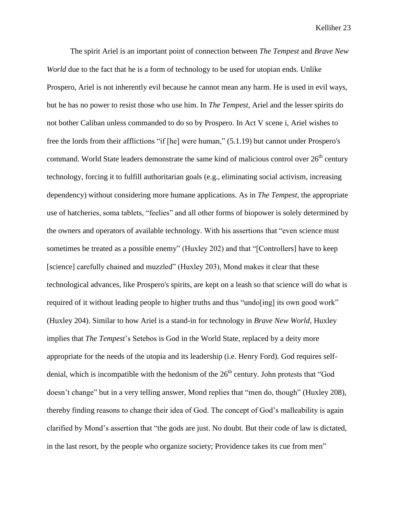The spirit Ariel is an important point of connection between *The Tempest* and *Brave New World* due to the fact that he is a form of technology to be used for utopian ends. Unlike Prospero, Ariel is not inherently evil because he cannot mean any harm. He is used in evil ways, but he has no power to resist those who use him. In *The Tempest*, Ariel and the lesser spirits do not bother Caliban unless commanded to do so by Prospero. In Act V scene i, Ariel wishes to free the lords from their afflictions "if [he] were human," (5.1.19) but cannot under Prospero's command. World State leaders demonstrate the same kind of malicious control over  $26<sup>th</sup>$  century technology, forcing it to fulfill authoritarian goals (e.g., eliminating social activism, increasing dependency) without considering more humane applications. As in *The Tempest*, the appropriate use of hatcheries, soma tablets, "feelies" and all other forms of biopower is solely determined by the owners and operators of available technology. With his assertions that "even science must sometimes be treated as a possible enemy" (Huxley 202) and that "[Controllers] have to keep [science] carefully chained and muzzled" (Huxley 203), Mond makes it clear that these technological advances, like Prospero's spirits, are kept on a leash so that science will do what is required of it without leading people to higher truths and thus "undo [ing] its own good work" (Huxley 204). Similar to how Ariel is a stand-in for technology in *Brave New World*, Huxley implies that *The Tempest*'s Setebos is God in the World State, replaced by a deity more appropriate for the needs of the utopia and its leadership (i.e. Henry Ford). God requires selfdenial, which is incompatible with the hedonism of the  $26<sup>th</sup>$  century. John protests that "God doesn't change" but in a very telling answer, Mond replies that "men do, though" (Huxley 208), thereby finding reasons to change their idea of God. The concept of God's malleability is again clarified by Mond's assertion that "the gods are just. No doubt. But their code of law is dictated, in the last resort, by the people who organize society; Providence takes its cue from men"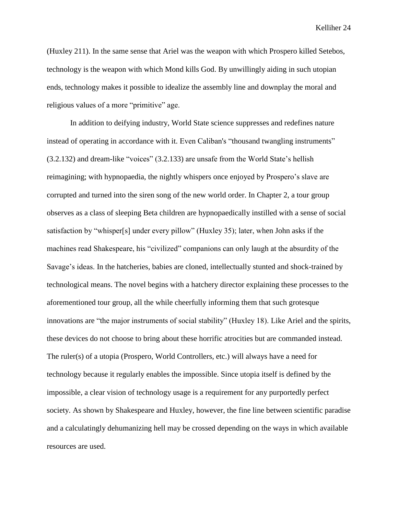(Huxley 211). In the same sense that Ariel was the weapon with which Prospero killed Setebos, technology is the weapon with which Mond kills God. By unwillingly aiding in such utopian ends, technology makes it possible to idealize the assembly line and downplay the moral and religious values of a more "primitive" age.

In addition to deifying industry, World State science suppresses and redefines nature instead of operating in accordance with it. Even Caliban's "thousand twangling instruments" (3.2.132) and dream-like "voices" (3.2.133) are unsafe from the World State's hellish reimagining; with hypnopaedia, the nightly whispers once enjoyed by Prospero's slave are corrupted and turned into the siren song of the new world order. In Chapter 2, a tour group observes as a class of sleeping Beta children are hypnopaedically instilled with a sense of social satisfaction by "whisper[s] under every pillow" (Huxley 35); later, when John asks if the machines read Shakespeare, his "civilized" companions can only laugh at the absurdity of the Savage's ideas. In the hatcheries, babies are cloned, intellectually stunted and shock-trained by technological means. The novel begins with a hatchery director explaining these processes to the aforementioned tour group, all the while cheerfully informing them that such grotesque innovations are "the major instruments of social stability" (Huxley 18). Like Ariel and the spirits, these devices do not choose to bring about these horrific atrocities but are commanded instead. The ruler(s) of a utopia (Prospero, World Controllers, etc.) will always have a need for technology because it regularly enables the impossible. Since utopia itself is defined by the impossible, a clear vision of technology usage is a requirement for any purportedly perfect society. As shown by Shakespeare and Huxley, however, the fine line between scientific paradise and a calculatingly dehumanizing hell may be crossed depending on the ways in which available resources are used.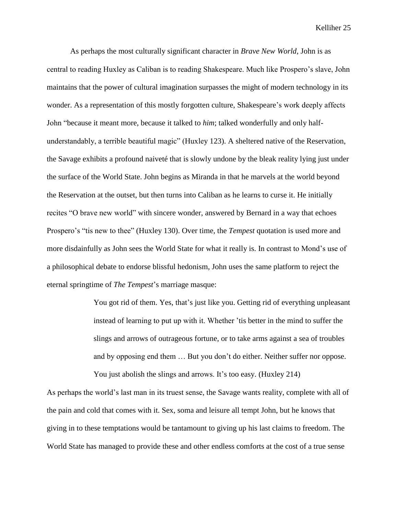As perhaps the most culturally significant character in *Brave New World*, John is as central to reading Huxley as Caliban is to reading Shakespeare. Much like Prospero's slave, John maintains that the power of cultural imagination surpasses the might of modern technology in its wonder. As a representation of this mostly forgotten culture, Shakespeare's work deeply affects John "because it meant more, because it talked to *him*; talked wonderfully and only halfunderstandably, a terrible beautiful magic" (Huxley 123). A sheltered native of the Reservation, the Savage exhibits a profound naiveté that is slowly undone by the bleak reality lying just under the surface of the World State. John begins as Miranda in that he marvels at the world beyond the Reservation at the outset, but then turns into Caliban as he learns to curse it. He initially recites "O brave new world" with sincere wonder, answered by Bernard in a way that echoes Prospero's "tis new to thee" (Huxley 130). Over time, the *Tempest* quotation is used more and more disdainfully as John sees the World State for what it really is. In contrast to Mond's use of a philosophical debate to endorse blissful hedonism, John uses the same platform to reject the eternal springtime of *The Tempest*'s marriage masque:

> You got rid of them. Yes, that's just like you. Getting rid of everything unpleasant instead of learning to put up with it. Whether 'tis better in the mind to suffer the slings and arrows of outrageous fortune, or to take arms against a sea of troubles and by opposing end them … But you don't do either. Neither suffer nor oppose. You just abolish the slings and arrows. It's too easy. (Huxley 214)

As perhaps the world's last man in its truest sense, the Savage wants reality, complete with all of the pain and cold that comes with it. Sex, soma and leisure all tempt John, but he knows that giving in to these temptations would be tantamount to giving up his last claims to freedom. The World State has managed to provide these and other endless comforts at the cost of a true sense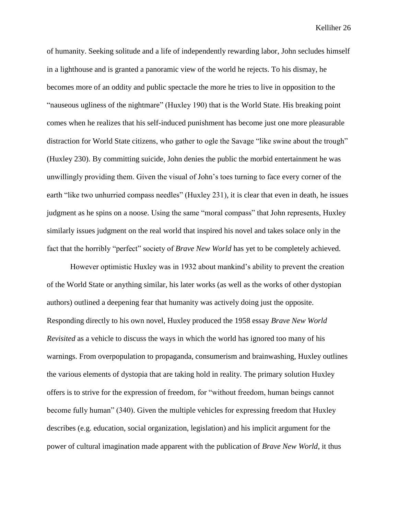of humanity. Seeking solitude and a life of independently rewarding labor, John secludes himself in a lighthouse and is granted a panoramic view of the world he rejects. To his dismay, he becomes more of an oddity and public spectacle the more he tries to live in opposition to the "nauseous ugliness of the nightmare" (Huxley 190) that is the World State. His breaking point comes when he realizes that his self-induced punishment has become just one more pleasurable distraction for World State citizens, who gather to ogle the Savage "like swine about the trough" (Huxley 230). By committing suicide, John denies the public the morbid entertainment he was unwillingly providing them. Given the visual of John's toes turning to face every corner of the earth "like two unhurried compass needles" (Huxley 231), it is clear that even in death, he issues judgment as he spins on a noose. Using the same "moral compass" that John represents, Huxley similarly issues judgment on the real world that inspired his novel and takes solace only in the fact that the horribly "perfect" society of *Brave New World* has yet to be completely achieved.

However optimistic Huxley was in 1932 about mankind's ability to prevent the creation of the World State or anything similar, his later works (as well as the works of other dystopian authors) outlined a deepening fear that humanity was actively doing just the opposite. Responding directly to his own novel, Huxley produced the 1958 essay *Brave New World Revisited* as a vehicle to discuss the ways in which the world has ignored too many of his warnings. From overpopulation to propaganda, consumerism and brainwashing, Huxley outlines the various elements of dystopia that are taking hold in reality. The primary solution Huxley offers is to strive for the expression of freedom, for "without freedom, human beings cannot become fully human" (340). Given the multiple vehicles for expressing freedom that Huxley describes (e.g. education, social organization, legislation) and his implicit argument for the power of cultural imagination made apparent with the publication of *Brave New World*, it thus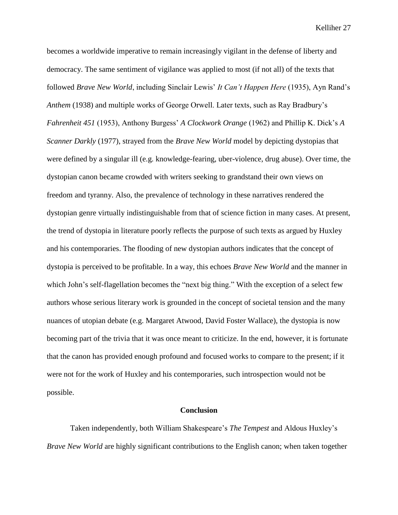becomes a worldwide imperative to remain increasingly vigilant in the defense of liberty and democracy. The same sentiment of vigilance was applied to most (if not all) of the texts that followed *Brave New World*, including Sinclair Lewis' *It Can't Happen Here* (1935), Ayn Rand's *Anthem* (1938) and multiple works of George Orwell. Later texts, such as Ray Bradbury's *Fahrenheit 451* (1953), Anthony Burgess' *A Clockwork Orange* (1962) and Phillip K. Dick's *A Scanner Darkly* (1977), strayed from the *Brave New World* model by depicting dystopias that were defined by a singular ill (e.g. knowledge-fearing, uber-violence, drug abuse). Over time, the dystopian canon became crowded with writers seeking to grandstand their own views on freedom and tyranny. Also, the prevalence of technology in these narratives rendered the dystopian genre virtually indistinguishable from that of science fiction in many cases. At present, the trend of dystopia in literature poorly reflects the purpose of such texts as argued by Huxley and his contemporaries. The flooding of new dystopian authors indicates that the concept of dystopia is perceived to be profitable. In a way, this echoes *Brave New World* and the manner in which John's self-flagellation becomes the "next big thing." With the exception of a select few authors whose serious literary work is grounded in the concept of societal tension and the many nuances of utopian debate (e.g. Margaret Atwood, David Foster Wallace), the dystopia is now becoming part of the trivia that it was once meant to criticize. In the end, however, it is fortunate that the canon has provided enough profound and focused works to compare to the present; if it were not for the work of Huxley and his contemporaries, such introspection would not be possible.

#### **Conclusion**

Taken independently, both William Shakespeare's *The Tempest* and Aldous Huxley's *Brave New World* are highly significant contributions to the English canon; when taken together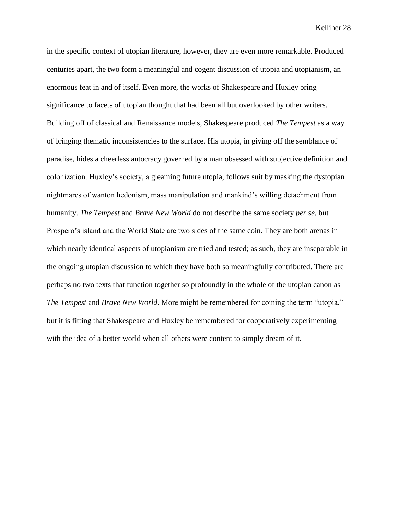in the specific context of utopian literature, however, they are even more remarkable. Produced centuries apart, the two form a meaningful and cogent discussion of utopia and utopianism, an enormous feat in and of itself. Even more, the works of Shakespeare and Huxley bring significance to facets of utopian thought that had been all but overlooked by other writers. Building off of classical and Renaissance models, Shakespeare produced *The Tempest* as a way of bringing thematic inconsistencies to the surface. His utopia, in giving off the semblance of paradise, hides a cheerless autocracy governed by a man obsessed with subjective definition and colonization. Huxley's society, a gleaming future utopia, follows suit by masking the dystopian nightmares of wanton hedonism, mass manipulation and mankind's willing detachment from humanity. *The Tempest* and *Brave New World* do not describe the same society *per se*, but Prospero's island and the World State are two sides of the same coin. They are both arenas in which nearly identical aspects of utopianism are tried and tested; as such, they are inseparable in the ongoing utopian discussion to which they have both so meaningfully contributed. There are perhaps no two texts that function together so profoundly in the whole of the utopian canon as *The Tempest* and *Brave New World*. More might be remembered for coining the term "utopia," but it is fitting that Shakespeare and Huxley be remembered for cooperatively experimenting with the idea of a better world when all others were content to simply dream of it.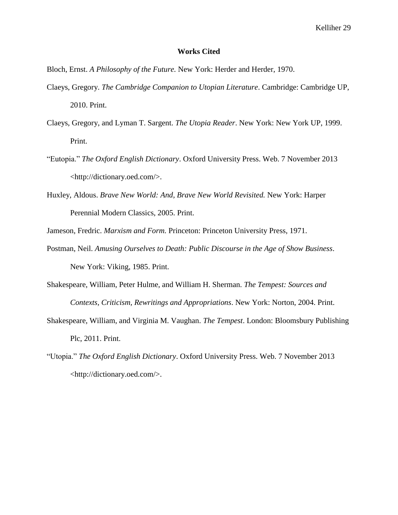### **Works Cited**

Bloch, Ernst. *A Philosophy of the Future.* New York: Herder and Herder, 1970.

- Claeys, Gregory. *The Cambridge Companion to Utopian Literature*. Cambridge: Cambridge UP, 2010. Print.
- Claeys, Gregory, and Lyman T. Sargent. *The Utopia Reader*. New York: New York UP, 1999. Print.
- "Eutopia." *The Oxford English Dictionary*. Oxford University Press. Web. 7 November 2013 <http://dictionary.oed.com/>.
- Huxley, Aldous. *Brave New World: And, Brave New World Revisited.* New York: Harper Perennial Modern Classics, 2005. Print.

Jameson, Fredric. *Marxism and Form.* Princeton: Princeton University Press, 1971.

- Postman, Neil. *Amusing Ourselves to Death: Public Discourse in the Age of Show Business*. New York: Viking, 1985. Print.
- Shakespeare, William, Peter Hulme, and William H. Sherman. *The Tempest: Sources and Contexts, Criticism, Rewritings and Appropriations*. New York: Norton, 2004. Print.
- Shakespeare, William, and Virginia M. Vaughan. *The Tempest*. London: Bloomsbury Publishing Plc, 2011. Print.
- "Utopia." *The Oxford English Dictionary*. Oxford University Press. Web. 7 November 2013 <http://dictionary.oed.com/>.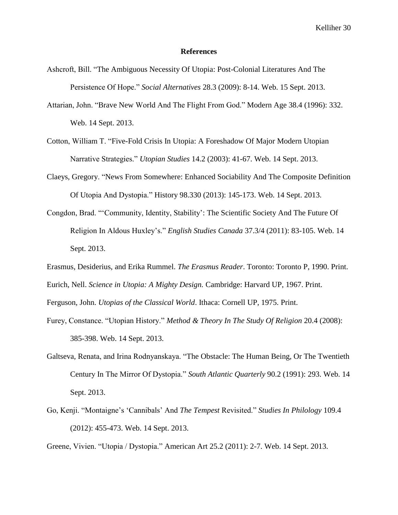#### **References**

- Ashcroft, Bill. "The Ambiguous Necessity Of Utopia: Post-Colonial Literatures And The Persistence Of Hope." *Social Alternatives* 28.3 (2009): 8-14. Web. 15 Sept. 2013.
- Attarian, John. "Brave New World And The Flight From God." Modern Age 38.4 (1996): 332. Web. 14 Sept. 2013.
- Cotton, William T. "Five-Fold Crisis In Utopia: A Foreshadow Of Major Modern Utopian Narrative Strategies." *Utopian Studies* 14.2 (2003): 41-67. Web. 14 Sept. 2013.
- Claeys, Gregory. "News From Somewhere: Enhanced Sociability And The Composite Definition Of Utopia And Dystopia." History 98.330 (2013): 145-173. Web. 14 Sept. 2013.
- Congdon, Brad. "'Community, Identity, Stability': The Scientific Society And The Future Of Religion In Aldous Huxley's." *English Studies Canada* 37.3/4 (2011): 83-105. Web. 14 Sept. 2013.
- Erasmus, Desiderius, and Erika Rummel. *The Erasmus Reader*. Toronto: Toronto P, 1990. Print.
- Eurich, Nell. *Science in Utopia: A Mighty Design.* Cambridge: Harvard UP, 1967. Print.

Ferguson, John. *Utopias of the Classical World*. Ithaca: Cornell UP, 1975. Print.

- Furey, Constance. "Utopian History." *Method & Theory In The Study Of Religion* 20.4 (2008): 385-398. Web. 14 Sept. 2013.
- Galtseva, Renata, and Irina Rodnyanskaya. "The Obstacle: The Human Being, Or The Twentieth Century In The Mirror Of Dystopia." *South Atlantic Quarterly* 90.2 (1991): 293. Web. 14 Sept. 2013.
- Go, Kenji. "Montaigne's 'Cannibals' And *The Tempest* Revisited." *Studies In Philology* 109.4 (2012): 455-473. Web. 14 Sept. 2013.

Greene, Vivien. "Utopia / Dystopia." American Art 25.2 (2011): 2-7. Web. 14 Sept. 2013.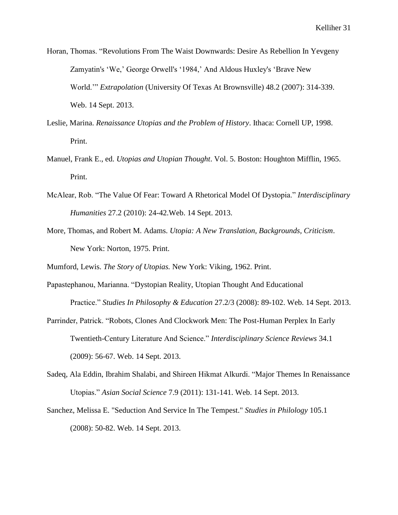Horan, Thomas. "Revolutions From The Waist Downwards: Desire As Rebellion In Yevgeny Zamyatin's 'We,' George Orwell's '1984,' And Aldous Huxley's 'Brave New World.'" *Extrapolation* (University Of Texas At Brownsville) 48.2 (2007): 314-339. Web. 14 Sept. 2013.

- Leslie, Marina. *Renaissance Utopias and the Problem of History*. Ithaca: Cornell UP, 1998. Print.
- Manuel, Frank E., ed. *Utopias and Utopian Thought*. Vol. 5. Boston: Houghton Mifflin, 1965. Print.
- McAlear, Rob. "The Value Of Fear: Toward A Rhetorical Model Of Dystopia." *Interdisciplinary Humanities* 27.2 (2010): 24-42.Web. 14 Sept. 2013.
- More, Thomas, and Robert M. Adams. *Utopia: A New Translation, Backgrounds, Criticism*. New York: Norton, 1975. Print.

Mumford, Lewis. *The Story of Utopias.* New York: Viking, 1962. Print.

- Papastephanou, Marianna. "Dystopian Reality, Utopian Thought And Educational Practice." *Studies In Philosophy & Education* 27.2/3 (2008): 89-102. Web. 14 Sept. 2013.
- Parrinder, Patrick. "Robots, Clones And Clockwork Men: The Post-Human Perplex In Early Twentieth-Century Literature And Science." *Interdisciplinary Science Reviews* 34.1 (2009): 56-67. Web. 14 Sept. 2013.
- Sadeq, Ala Eddin, Ibrahim Shalabi, and Shireen Hikmat Alkurdi. "Major Themes In Renaissance Utopias." *Asian Social Science* 7.9 (2011): 131-141. Web. 14 Sept. 2013.
- Sanchez, Melissa E. "Seduction And Service In The Tempest." *Studies in Philology* 105.1 (2008): 50-82. Web. 14 Sept. 2013.